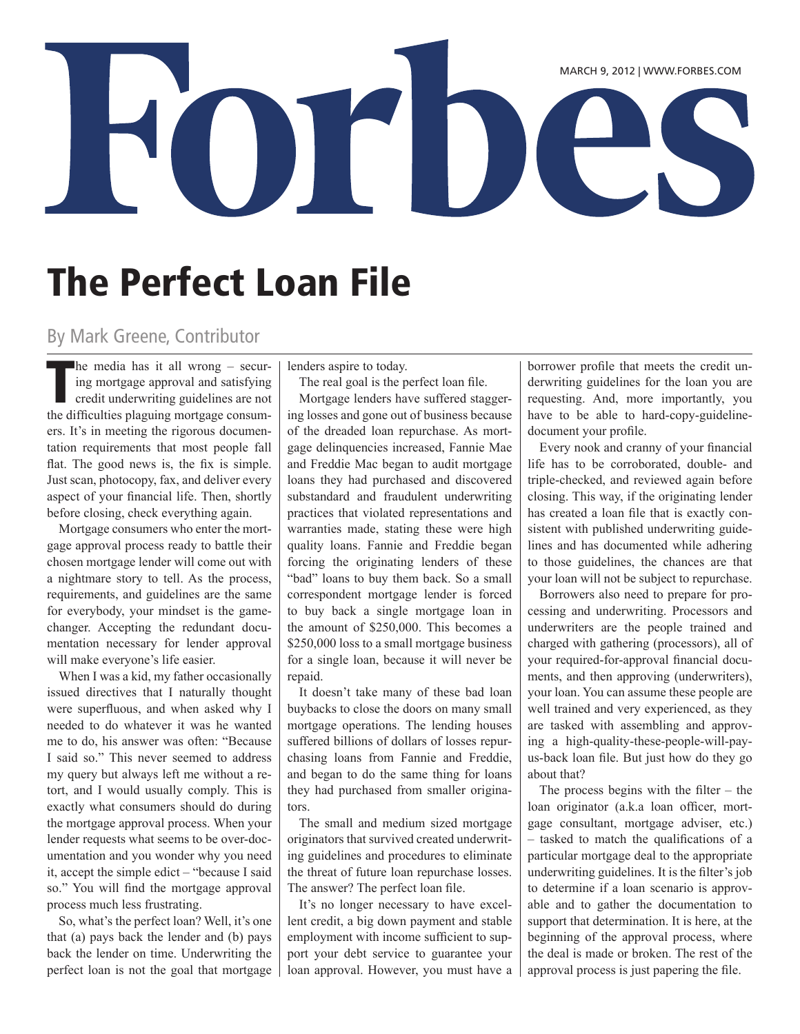## MARCH 9, 2012 | WWW.FORBES.COM

## The Perfect Loan File

## By Mark Greene, Contributor

the media has it all wrong – securing mortgage approval and satisfying<br>credit underwriting guidelines are not<br>the difficulties plaguing mortgage consumhe media has it all wrong – securing mortgage approval and satisfying credit underwriting guidelines are not ers. It's in meeting the rigorous documentation requirements that most people fall flat. The good news is, the fix is simple. Just scan, photocopy, fax, and deliver every aspect of your financial life. Then, shortly before closing, check everything again.

Mortgage consumers who enter the mortgage approval process ready to battle their chosen mortgage lender will come out with a nightmare story to tell. As the process, requirements, and guidelines are the same for everybody, your mindset is the gamechanger. Accepting the redundant documentation necessary for lender approval will make everyone's life easier.

When I was a kid, my father occasionally issued directives that I naturally thought were superfluous, and when asked why I needed to do whatever it was he wanted me to do, his answer was often: "Because I said so." This never seemed to address my query but always left me without a retort, and I would usually comply. This is exactly what consumers should do during the mortgage approval process. When your lender requests what seems to be over-documentation and you wonder why you need it, accept the simple edict – "because I said so." You will find the mortgage approval process much less frustrating.

So, what's the perfect loan? Well, it's one that (a) pays back the lender and (b) pays back the lender on time. Underwriting the perfect loan is not the goal that mortgage lenders aspire to today.

The real goal is the perfect loan file.

Mortgage lenders have suffered staggering losses and gone out of business because of the dreaded loan repurchase. As mortgage delinquencies increased, Fannie Mae and Freddie Mac began to audit mortgage loans they had purchased and discovered substandard and fraudulent underwriting practices that violated representations and warranties made, stating these were high quality loans. Fannie and Freddie began forcing the originating lenders of these "bad" loans to buy them back. So a small correspondent mortgage lender is forced to buy back a single mortgage loan in the amount of \$250,000. This becomes a \$250,000 loss to a small mortgage business for a single loan, because it will never be repaid.

It doesn't take many of these bad loan buybacks to close the doors on many small mortgage operations. The lending houses suffered billions of dollars of losses repurchasing loans from Fannie and Freddie, and began to do the same thing for loans they had purchased from smaller originators.

The small and medium sized mortgage originators that survived created underwriting guidelines and procedures to eliminate the threat of future loan repurchase losses. The answer? The perfect loan file.

It's no longer necessary to have excellent credit, a big down payment and stable employment with income sufficient to support your debt service to guarantee your loan approval. However, you must have a borrower profile that meets the credit underwriting guidelines for the loan you are requesting. And, more importantly, you have to be able to hard-copy-guidelinedocument your profile.

Every nook and cranny of your financial life has to be corroborated, double- and triple-checked, and reviewed again before closing. This way, if the originating lender has created a loan file that is exactly consistent with published underwriting guidelines and has documented while adhering to those guidelines, the chances are that your loan will not be subject to repurchase.

Borrowers also need to prepare for processing and underwriting. Processors and underwriters are the people trained and charged with gathering (processors), all of your required-for-approval financial documents, and then approving (underwriters), your loan. You can assume these people are well trained and very experienced, as they are tasked with assembling and approving a high-quality-these-people-will-payus-back loan file. But just how do they go about that?

The process begins with the filter  $-$  the loan originator (a.k.a loan officer, mortgage consultant, mortgage adviser, etc.) – tasked to match the qualifications of a particular mortgage deal to the appropriate underwriting guidelines. It is the filter's job to determine if a loan scenario is approvable and to gather the documentation to support that determination. It is here, at the beginning of the approval process, where the deal is made or broken. The rest of the approval process is just papering the file.